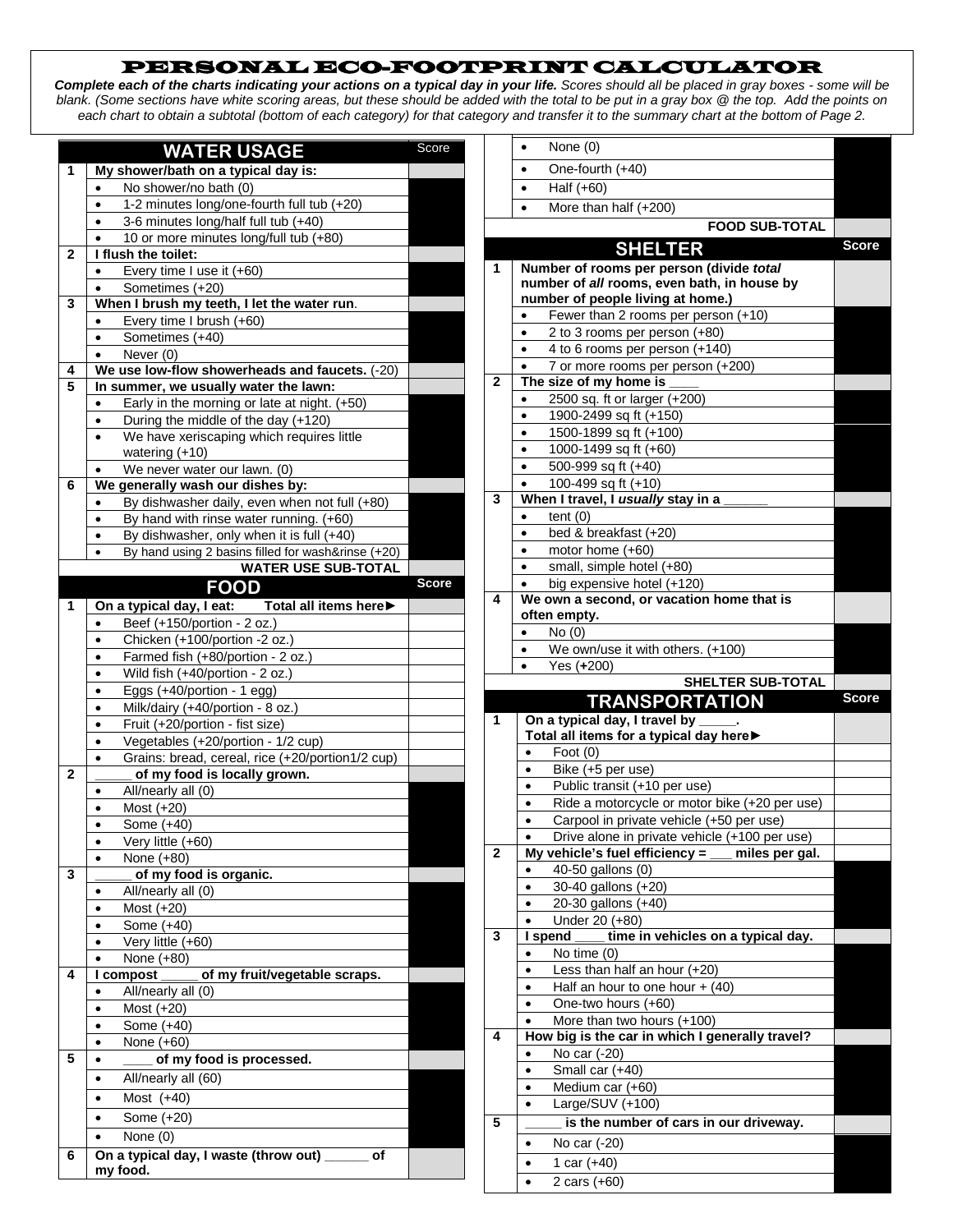## PERSONAL ECO-FOOTPRINT CALCULATOR

*Complete each of the charts indicating your actions on a typical day in your life. Scores should all be placed in gray boxes - some will be blank. (Some sections have white scoring areas, but these should be added with the total to be put in a gray box @ the top. Add the points on each chart to obtain a subtotal (bottom of each category) for that category and transfer it to the summary chart at the bottom of Page 2.*

| <b>WATER USAGE</b> |                                                                                                               | Score        |              | None (0)<br>$\bullet$                                                            |              |
|--------------------|---------------------------------------------------------------------------------------------------------------|--------------|--------------|----------------------------------------------------------------------------------|--------------|
| 1                  | My shower/bath on a typical day is:                                                                           |              |              | One-fourth (+40)                                                                 |              |
|                    | No shower/no bath (0)<br>$\bullet$                                                                            |              |              | Half $(+60)$<br>$\bullet$                                                        |              |
|                    | 1-2 minutes long/one-fourth full tub (+20)<br>$\bullet$                                                       |              |              | More than half (+200)<br>$\bullet$                                               |              |
|                    | 3-6 minutes long/half full tub (+40)<br>$\bullet$                                                             |              |              | <b>FOOD SUB-TOTAL</b>                                                            |              |
|                    | 10 or more minutes long/full tub (+80)                                                                        |              |              |                                                                                  | <b>Score</b> |
| 2                  | I flush the toilet:                                                                                           |              |              | <b>SHELTER</b>                                                                   |              |
|                    | Every time I use it (+60)<br>$\bullet$                                                                        |              | 1            | Number of rooms per person (divide total                                         |              |
|                    | Sometimes (+20)<br>$\bullet$                                                                                  |              |              | number of all rooms, even bath, in house by<br>number of people living at home.) |              |
| 3                  | When I brush my teeth, I let the water run.                                                                   |              |              | Fewer than 2 rooms per person (+10)                                              |              |
|                    | Every time I brush (+60)<br>$\bullet$                                                                         |              |              | 2 to 3 rooms per person (+80)<br>$\bullet$                                       |              |
|                    | Sometimes (+40)<br>$\bullet$                                                                                  |              |              | 4 to 6 rooms per person (+140)<br>$\bullet$                                      |              |
|                    | Never (0)<br>$\bullet$                                                                                        |              |              | 7 or more rooms per person (+200)<br>$\bullet$                                   |              |
| 4<br>5             | We use low-flow showerheads and faucets. (-20)<br>In summer, we usually water the lawn:                       |              | $\mathbf{2}$ | The size of my home is                                                           |              |
|                    |                                                                                                               |              |              | 2500 sq. ft or larger (+200)                                                     |              |
|                    | Early in the morning or late at night. (+50)<br>$\bullet$<br>During the middle of the day (+120)<br>$\bullet$ |              |              | 1900-2499 sq ft (+150)                                                           |              |
|                    | We have xeriscaping which requires little<br>$\bullet$                                                        |              |              | 1500-1899 sq ft (+100)                                                           |              |
|                    | watering $(+10)$                                                                                              |              |              | 1000-1499 sq ft (+60)<br>$\bullet$                                               |              |
|                    | We never water our lawn. (0)<br>$\bullet$                                                                     |              |              | 500-999 sq ft (+40)<br>$\bullet$                                                 |              |
| 6                  | We generally wash our dishes by:                                                                              |              |              | 100-499 sq ft (+10)<br>$\bullet$                                                 |              |
|                    | By dishwasher daily, even when not full (+80)<br>$\bullet$                                                    |              | 3            | When I travel, I usually stay in a                                               |              |
|                    | By hand with rinse water running. (+60)<br>٠                                                                  |              |              | tent (0)<br>$\bullet$                                                            |              |
|                    | By dishwasher, only when it is full (+40)<br>$\bullet$                                                        |              |              | bed & breakfast (+20)<br>$\bullet$                                               |              |
|                    | By hand using 2 basins filled for wash&rinse (+20)<br>$\bullet$                                               |              |              | motor home (+60)<br>$\bullet$                                                    |              |
|                    | <b>WATER USE SUB-TOTAL</b>                                                                                    |              |              | small, simple hotel (+80)                                                        |              |
|                    | <b>FOOD</b>                                                                                                   | <b>Score</b> |              | big expensive hotel (+120)                                                       |              |
| 1                  | Total all items here<br>On a typical day, I eat:                                                              |              | 4            | We own a second, or vacation home that is                                        |              |
|                    | Beef (+150/portion - 2 oz.)<br>$\bullet$                                                                      |              |              | often empty.                                                                     |              |
|                    | Chicken (+100/portion -2 oz.)<br>$\bullet$                                                                    |              |              | No(0)<br>$\bullet$                                                               |              |
|                    | Farmed fish (+80/portion - 2 oz.)<br>$\bullet$                                                                |              |              | We own/use it with others. (+100)                                                |              |
|                    |                                                                                                               |              |              | Yes (+200)                                                                       |              |
|                    | Wild fish (+40/portion - 2 oz.)<br>$\bullet$                                                                  |              |              |                                                                                  |              |
|                    | Eggs (+40/portion - 1 egg)<br>$\bullet$                                                                       |              |              | <b>SHELTER SUB-TOTAL</b>                                                         |              |
|                    | Milk/dairy (+40/portion - 8 oz.)<br>$\bullet$                                                                 |              |              | <b>TRANSPORTATION</b>                                                            | <b>Score</b> |
|                    | Fruit (+20/portion - fist size)<br>$\bullet$                                                                  |              | 1            | On a typical day, I travel by _                                                  |              |
|                    | Vegetables (+20/portion - 1/2 cup)<br>$\bullet$                                                               |              |              | Total all items for a typical day here▶                                          |              |
|                    | Grains: bread, cereal, rice (+20/portion1/2 cup)<br>$\bullet$                                                 |              |              | Foot $(0)$<br>$\bullet$                                                          |              |
| $\mathbf{2}$       | of my food is locally grown.                                                                                  |              |              | Bike (+5 per use)<br>$\bullet$                                                   |              |
|                    | All/nearly all (0)<br>$\bullet$                                                                               |              |              | Public transit (+10 per use)<br>$\bullet$                                        |              |
|                    | Most $(+20)$<br>$\bullet$                                                                                     |              |              | Ride a motorcycle or motor bike (+20 per use)<br>$\bullet$                       |              |
|                    | Some (+40)<br>$\bullet$                                                                                       |              |              | Carpool in private vehicle (+50 per use)<br>$\bullet$                            |              |
|                    | Very little (+60)<br>$\bullet$                                                                                |              |              | Drive alone in private vehicle (+100 per use)                                    |              |
|                    | None (+80)<br>$\bullet$                                                                                       |              | $\mathbf{2}$ | My vehicle's fuel efficiency = $\_\_$<br>miles per gal.<br>$\bullet$             |              |
| 3                  | of my food is organic.                                                                                        |              |              | 40-50 gallons (0)<br>$\bullet$                                                   |              |
|                    | All/nearly all (0)                                                                                            |              |              | 30-40 gallons (+20)<br>20-30 gallons (+40)<br>$\bullet$                          |              |
|                    | Most (+20)<br>$\bullet$                                                                                       |              |              | Under 20 (+80)<br>$\bullet$                                                      |              |
|                    | Some (+40)<br>$\bullet$                                                                                       |              | 3            | I spend<br>time in vehicles on a typical day.                                    |              |
|                    | Very little (+60)<br>$\bullet$                                                                                |              |              | No time (0)<br>$\bullet$                                                         |              |
|                    | None (+80)<br>$\bullet$                                                                                       |              |              | Less than half an hour (+20)<br>$\bullet$                                        |              |
| 4                  | of my fruit/vegetable scraps.<br>I compost                                                                    |              |              | Half an hour to one hour $+$ (40)<br>$\bullet$                                   |              |
|                    | All/nearly all (0)<br>$\bullet$                                                                               |              |              | One-two hours (+60)<br>$\bullet$                                                 |              |
|                    | Most (+20)<br>Some (+40)<br>$\bullet$                                                                         |              |              | More than two hours (+100)<br>$\bullet$                                          |              |
|                    | None (+60)<br>$\bullet$                                                                                       |              | 4            | How big is the car in which I generally travel?                                  |              |
| 5                  | of my food is processed.<br>$\bullet$                                                                         |              |              | No car (-20)<br>$\bullet$                                                        |              |
|                    | $\bullet$                                                                                                     |              |              | Small car (+40)<br>$\bullet$                                                     |              |
|                    | All/nearly all (60)<br>٠                                                                                      |              |              | Medium car (+60)<br>$\bullet$                                                    |              |
|                    | Most $(+40)$                                                                                                  |              |              | Large/SUV (+100)<br>$\bullet$                                                    |              |
|                    | Some (+20)<br>$\bullet$                                                                                       |              | 5            | is the number of cars in our driveway.                                           |              |
|                    | None (0)<br>$\bullet$                                                                                         |              |              | No car (-20)<br>$\bullet$                                                        |              |
| 6                  | On a typical day, I waste (throw out)<br>of<br>my food.                                                       |              |              | 1 car $(+40)$<br>$\bullet$<br>2 cars (+60)                                       |              |